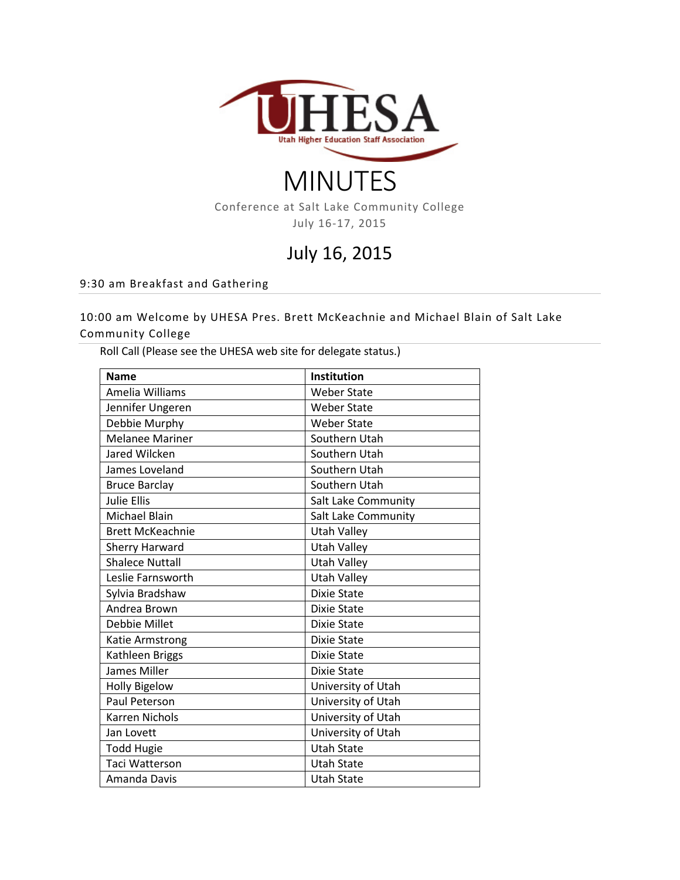

# MINUTES

Conference at Salt Lake Community College July 16-17, 2015

# July 16, 2015

#### 9:30 am Breakfast and Gathering

10:00 am Welcome by UHESA Pres. Brett McKeachnie and Michael Blain of Salt Lake Community College

Roll Call (Please see the UHESA web site for delegate status.)

| <b>Name</b>             | Institution         |
|-------------------------|---------------------|
| Amelia Williams         | <b>Weber State</b>  |
| Jennifer Ungeren        | <b>Weber State</b>  |
| Debbie Murphy           | <b>Weber State</b>  |
| <b>Melanee Mariner</b>  | Southern Utah       |
| Jared Wilcken           | Southern Utah       |
| James Loveland          | Southern Utah       |
| <b>Bruce Barclay</b>    | Southern Utah       |
| <b>Julie Ellis</b>      | Salt Lake Community |
| Michael Blain           | Salt Lake Community |
| <b>Brett McKeachnie</b> | <b>Utah Valley</b>  |
| <b>Sherry Harward</b>   | <b>Utah Valley</b>  |
| <b>Shalece Nuttall</b>  | <b>Utah Valley</b>  |
| Leslie Farnsworth       | <b>Utah Valley</b>  |
| Sylvia Bradshaw         | <b>Dixie State</b>  |
| Andrea Brown            | <b>Dixie State</b>  |
| Debbie Millet           | Dixie State         |
| Katie Armstrong         | <b>Dixie State</b>  |
| Kathleen Briggs         | <b>Dixie State</b>  |
| James Miller            | Dixie State         |
| <b>Holly Bigelow</b>    | University of Utah  |
| Paul Peterson           | University of Utah  |
| <b>Karren Nichols</b>   | University of Utah  |
| Jan Lovett              | University of Utah  |
| <b>Todd Hugie</b>       | <b>Utah State</b>   |
| Taci Watterson          | <b>Utah State</b>   |
| Amanda Davis            | <b>Utah State</b>   |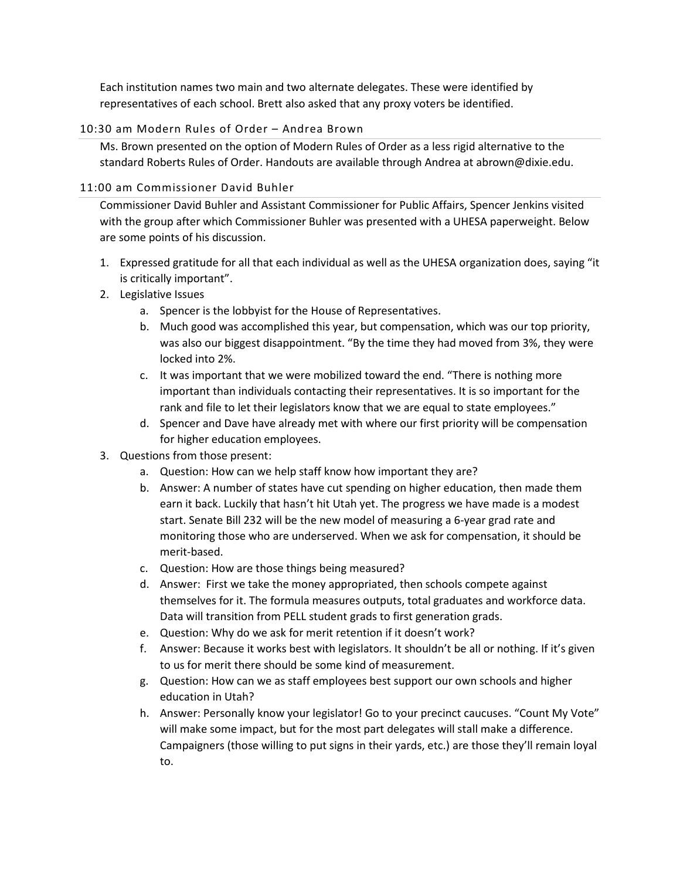Each institution names two main and two alternate delegates. These were identified by representatives of each school. Brett also asked that any proxy voters be identified.

#### 10:30 am Modern Rules of Order – Andrea Brown

Ms. Brown presented on the option of Modern Rules of Order as a less rigid alternative to the standard Roberts Rules of Order. Handouts are available through Andrea at abrown@dixie.edu.

#### 11:00 am Commissioner David Buhler

Commissioner David Buhler and Assistant Commissioner for Public Affairs, Spencer Jenkins visited with the group after which Commissioner Buhler was presented with a UHESA paperweight. Below are some points of his discussion.

- 1. Expressed gratitude for all that each individual as well as the UHESA organization does, saying "it is critically important".
- 2. Legislative Issues
	- a. Spencer is the lobbyist for the House of Representatives.
	- b. Much good was accomplished this year, but compensation, which was our top priority, was also our biggest disappointment. "By the time they had moved from 3%, they were locked into 2%.
	- c. It was important that we were mobilized toward the end. "There is nothing more important than individuals contacting their representatives. It is so important for the rank and file to let their legislators know that we are equal to state employees."
	- d. Spencer and Dave have already met with where our first priority will be compensation for higher education employees.
- 3. Questions from those present:
	- a. Question: How can we help staff know how important they are?
	- b. Answer: A number of states have cut spending on higher education, then made them earn it back. Luckily that hasn't hit Utah yet. The progress we have made is a modest start. Senate Bill 232 will be the new model of measuring a 6-year grad rate and monitoring those who are underserved. When we ask for compensation, it should be merit-based.
	- c. Question: How are those things being measured?
	- d. Answer: First we take the money appropriated, then schools compete against themselves for it. The formula measures outputs, total graduates and workforce data. Data will transition from PELL student grads to first generation grads.
	- e. Question: Why do we ask for merit retention if it doesn't work?
	- f. Answer: Because it works best with legislators. It shouldn't be all or nothing. If it's given to us for merit there should be some kind of measurement.
	- g. Question: How can we as staff employees best support our own schools and higher education in Utah?
	- h. Answer: Personally know your legislator! Go to your precinct caucuses. "Count My Vote" will make some impact, but for the most part delegates will stall make a difference. Campaigners (those willing to put signs in their yards, etc.) are those they'll remain loyal to.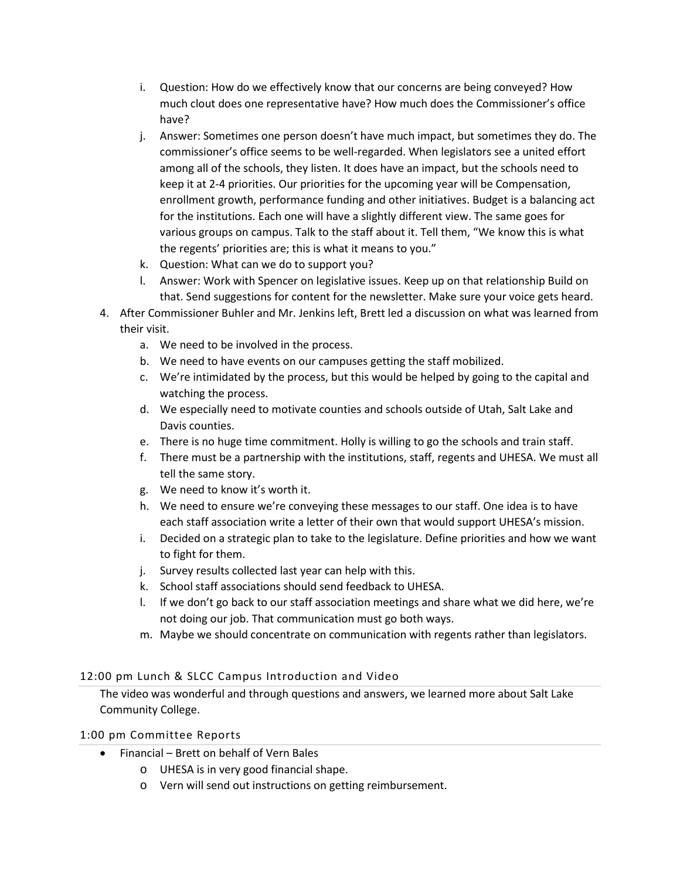- i. Question: How do we effectively know that our concerns are being conveyed? How much clout does one representative have? How much does the Commissioner's office have?
- j. Answer: Sometimes one person doesn't have much impact, but sometimes they do. The commissioner's office seems to be well-regarded. When legislators see a united effort among all of the schools, they listen. It does have an impact, but the schools need to keep it at 2-4 priorities. Our priorities for the upcoming year will be Compensation, enrollment growth, performance funding and other initiatives. Budget is a balancing act for the institutions. Each one will have a slightly different view. The same goes for various groups on campus. Talk to the staff about it. Tell them, "We know this is what the regents' priorities are; this is what it means to you."
- k. Question: What can we do to support you?
- l. Answer: Work with Spencer on legislative issues. Keep up on that relationship Build on that. Send suggestions for content for the newsletter. Make sure your voice gets heard.
- 4. After Commissioner Buhler and Mr. Jenkins left, Brett led a discussion on what was learned from their visit.
	- a. We need to be involved in the process.
	- b. We need to have events on our campuses getting the staff mobilized.
	- c. We're intimidated by the process, but this would be helped by going to the capital and watching the process.
	- d. We especially need to motivate counties and schools outside of Utah, Salt Lake and Davis counties.
	- e. There is no huge time commitment. Holly is willing to go the schools and train staff.
	- f. There must be a partnership with the institutions, staff, regents and UHESA. We must all tell the same story.
	- g. We need to know it's worth it.
	- h. We need to ensure we're conveying these messages to our staff. One idea is to have each staff association write a letter of their own that would support UHESA's mission.
	- i. Decided on a strategic plan to take to the legislature. Define priorities and how we want to fight for them.
	- j. Survey results collected last year can help with this.
	- k. School staff associations should send feedback to UHESA.
	- l. If we don't go back to our staff association meetings and share what we did here, we're not doing our job. That communication must go both ways.
	- m. Maybe we should concentrate on communication with regents rather than legislators.

# 12:00 pm Lunch & SLCC Campus Introduction and Video

The video was wonderful and through questions and answers, we learned more about Salt Lake Community College.

#### 1:00 pm Committee Reports

- Financial Brett on behalf of Vern Bales
	- o UHESA is in very good financial shape.
	- o Vern will send out instructions on getting reimbursement.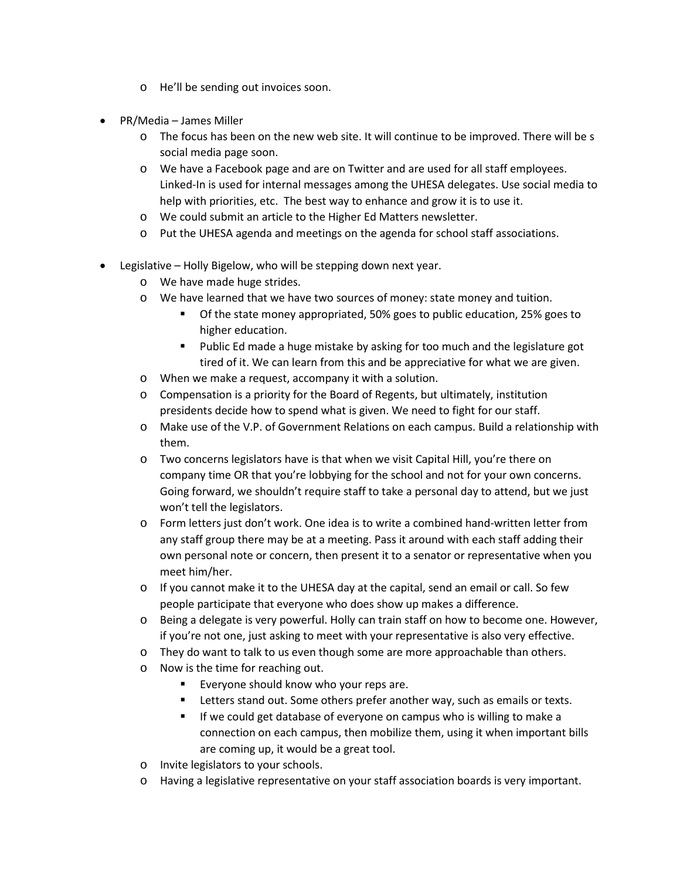- o He'll be sending out invoices soon.
- PR/Media James Miller
	- $\circ$  The focus has been on the new web site. It will continue to be improved. There will be s social media page soon.
	- o We have a Facebook page and are on Twitter and are used for all staff employees. Linked-In is used for internal messages among the UHESA delegates. Use social media to help with priorities, etc. The best way to enhance and grow it is to use it.
	- o We could submit an article to the Higher Ed Matters newsletter.
	- o Put the UHESA agenda and meetings on the agenda for school staff associations.
- Legislative Holly Bigelow, who will be stepping down next year.
	- o We have made huge strides.
	- o We have learned that we have two sources of money: state money and tuition.
		- Of the state money appropriated, 50% goes to public education, 25% goes to higher education.
		- **Public Ed made a huge mistake by asking for too much and the legislature got** tired of it. We can learn from this and be appreciative for what we are given.
	- o When we make a request, accompany it with a solution.
	- o Compensation is a priority for the Board of Regents, but ultimately, institution presidents decide how to spend what is given. We need to fight for our staff.
	- o Make use of the V.P. of Government Relations on each campus. Build a relationship with them.
	- o Two concerns legislators have is that when we visit Capital Hill, you're there on company time OR that you're lobbying for the school and not for your own concerns. Going forward, we shouldn't require staff to take a personal day to attend, but we just won't tell the legislators.
	- o Form letters just don't work. One idea is to write a combined hand-written letter from any staff group there may be at a meeting. Pass it around with each staff adding their own personal note or concern, then present it to a senator or representative when you meet him/her.
	- $\circ$  If you cannot make it to the UHESA day at the capital, send an email or call. So few people participate that everyone who does show up makes a difference.
	- o Being a delegate is very powerful. Holly can train staff on how to become one. However, if you're not one, just asking to meet with your representative is also very effective.
	- o They do want to talk to us even though some are more approachable than others.
	- o Now is the time for reaching out.
		- Everyone should know who your reps are.
		- Letters stand out. Some others prefer another way, such as emails or texts.
		- If we could get database of everyone on campus who is willing to make a connection on each campus, then mobilize them, using it when important bills are coming up, it would be a great tool.
	- o Invite legislators to your schools.
	- o Having a legislative representative on your staff association boards is very important.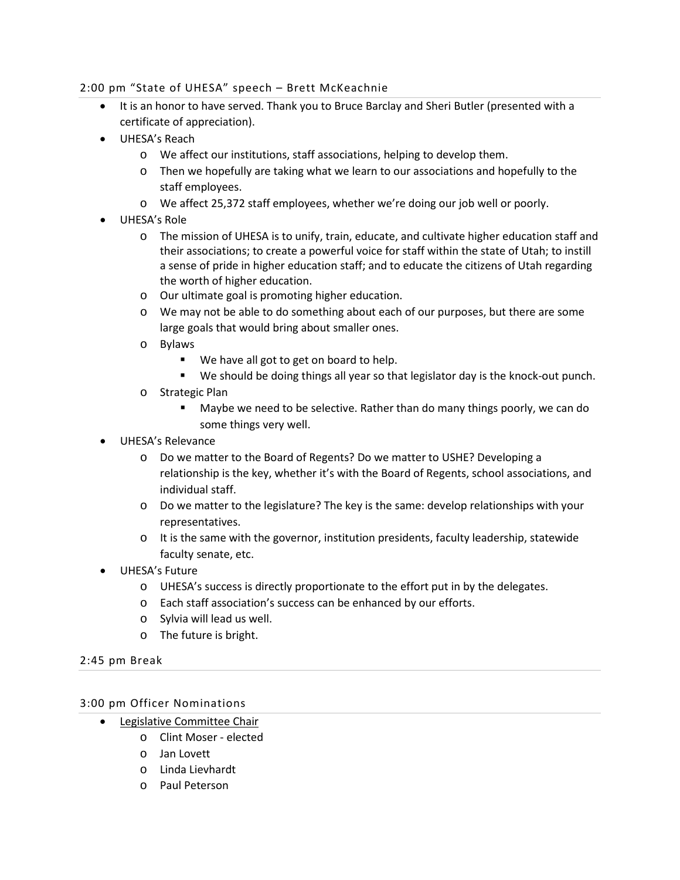#### 2:00 pm "State of UHESA" speech – Brett McKeachnie

- It is an honor to have served. Thank you to Bruce Barclay and Sheri Butler (presented with a certificate of appreciation).
- UHESA's Reach
	- o We affect our institutions, staff associations, helping to develop them.
	- o Then we hopefully are taking what we learn to our associations and hopefully to the staff employees.
	- o We affect 25,372 staff employees, whether we're doing our job well or poorly.
- UHESA's Role
	- o The mission of UHESA is to unify, train, educate, and cultivate higher education staff and their associations; to create a powerful voice for staff within the state of Utah; to instill a sense of pride in higher education staff; and to educate the citizens of Utah regarding the worth of higher education.
	- o Our ultimate goal is promoting higher education.
	- o We may not be able to do something about each of our purposes, but there are some large goals that would bring about smaller ones.
	- o Bylaws
		- We have all got to get on board to help.
		- We should be doing things all year so that legislator day is the knock-out punch.
	- o Strategic Plan
		- Maybe we need to be selective. Rather than do many things poorly, we can do some things very well.
- UHESA's Relevance
	- o Do we matter to the Board of Regents? Do we matter to USHE? Developing a relationship is the key, whether it's with the Board of Regents, school associations, and individual staff.
	- o Do we matter to the legislature? The key is the same: develop relationships with your representatives.
	- o It is the same with the governor, institution presidents, faculty leadership, statewide faculty senate, etc.
- UHESA's Future
	- o UHESA's success is directly proportionate to the effort put in by the delegates.
	- o Each staff association's success can be enhanced by our efforts.
	- o Sylvia will lead us well.
	- o The future is bright.

# 2:45 pm Break

# 3:00 pm Officer Nominations

- Legislative Committee Chair
	- o Clint Moser elected
	- o Jan Lovett
	- o Linda Lievhardt
	- o Paul Peterson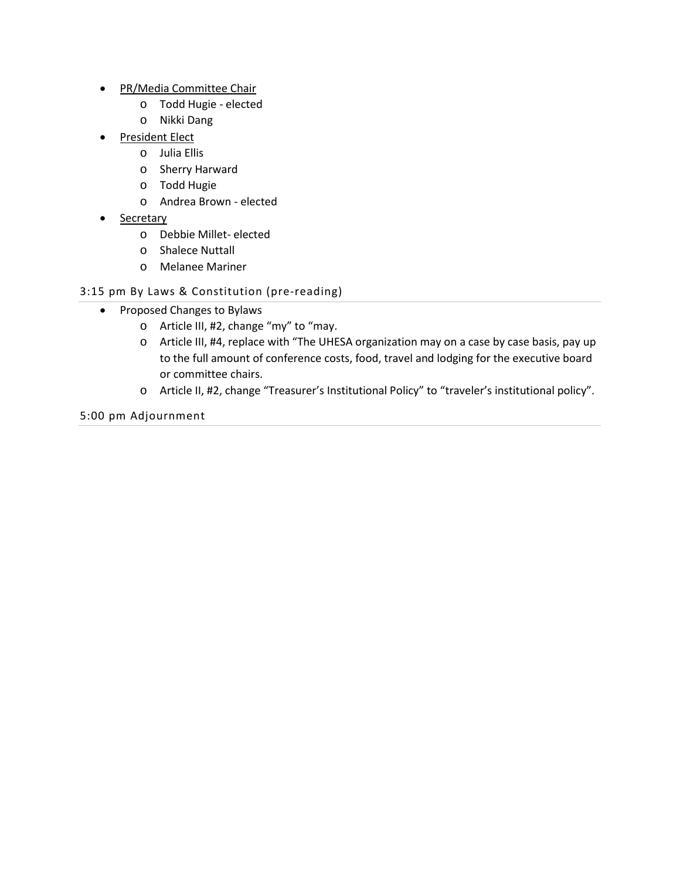- PR/Media Committee Chair
	- o Todd Hugie elected
	- o Nikki Dang
- President Elect
	- o Julia Ellis
	- o Sherry Harward
	- o Todd Hugie
	- o Andrea Brown elected
- **Secretary** 
	- o Debbie Millet- elected
	- o Shalece Nuttall
	- o Melanee Mariner

# 3:15 pm By Laws & Constitution (pre-reading)

- Proposed Changes to Bylaws
	- o Article III, #2, change "my" to "may.
	- o Article III, #4, replace with "The UHESA organization may on a case by case basis, pay up to the full amount of conference costs, food, travel and lodging for the executive board or committee chairs.
	- o Article II, #2, change "Treasurer's Institutional Policy" to "traveler's institutional policy".

5:00 pm Adjournment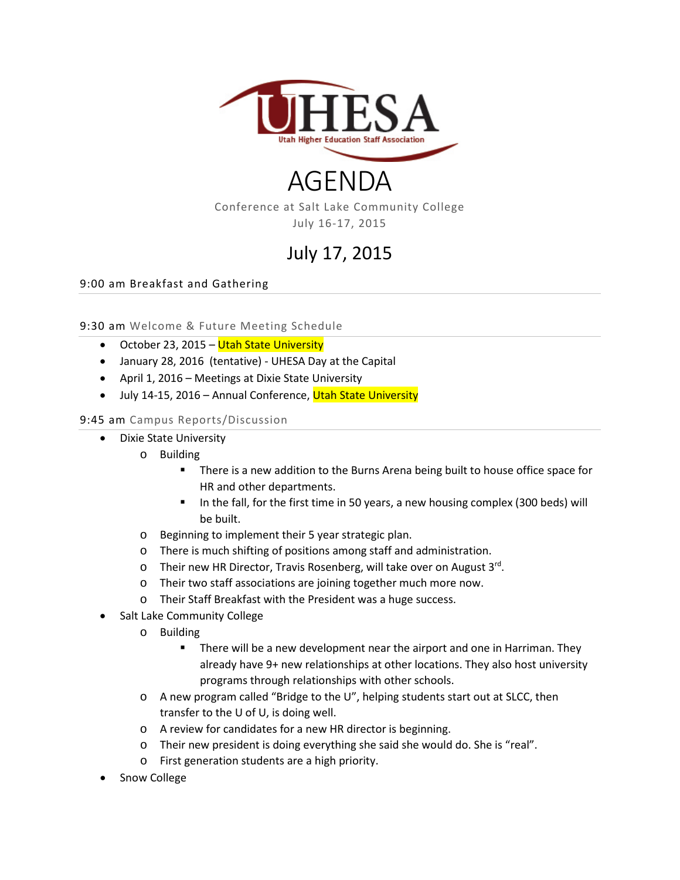

# AGENDA

Conference at Salt Lake Community College July 16-17, 2015

# July 17, 2015

9:00 am Breakfast and Gathering

9:30 am Welcome & Future Meeting Schedule

- October 23, 2015 Utah State University
- January 28, 2016 (tentative) UHESA Day at the Capital
- April 1, 2016 Meetings at Dixie State University
- July 14-15, 2016 Annual Conference, Utah State University

#### 9:45 am Campus Reports/Discussion

- Dixie State University
	- o Building
		- **There is a new addition to the Burns Arena being built to house office space for** HR and other departments.
		- In the fall, for the first time in 50 years, a new housing complex (300 beds) will be built.
	- o Beginning to implement their 5 year strategic plan.
	- o There is much shifting of positions among staff and administration.
	- o Their new HR Director, Travis Rosenberg, will take over on August 3rd.
	- o Their two staff associations are joining together much more now.
	- o Their Staff Breakfast with the President was a huge success.
- Salt Lake Community College
	- o Building
		- There will be a new development near the airport and one in Harriman. They already have 9+ new relationships at other locations. They also host university programs through relationships with other schools.
	- o A new program called "Bridge to the U", helping students start out at SLCC, then transfer to the U of U, is doing well.
	- o A review for candidates for a new HR director is beginning.
	- o Their new president is doing everything she said she would do. She is "real".
	- o First generation students are a high priority.
- Snow College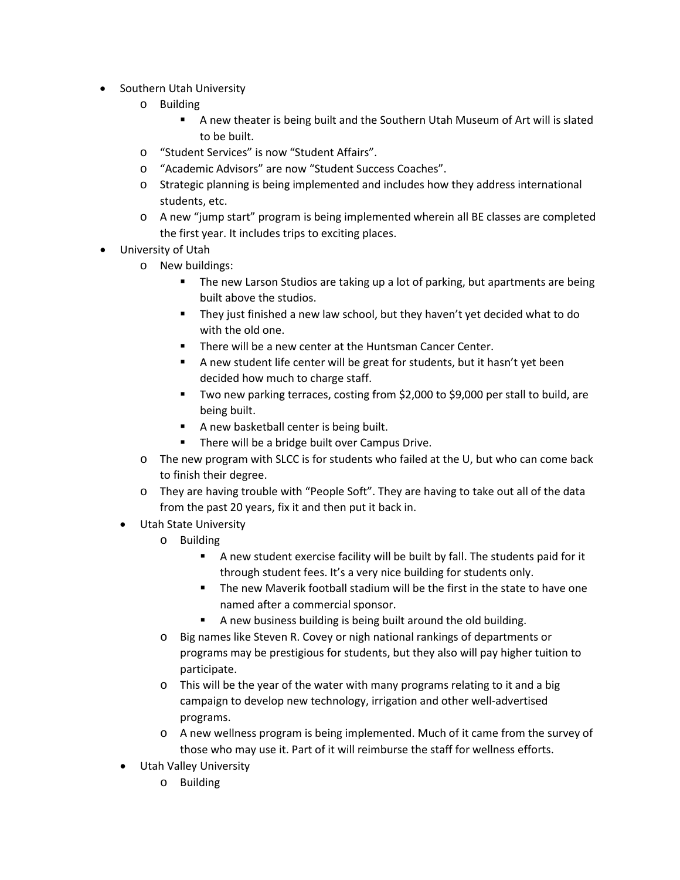- Southern Utah University
	- o Building
		- A new theater is being built and the Southern Utah Museum of Art will is slated to be built.
	- o "Student Services" is now "Student Affairs".
	- o "Academic Advisors" are now "Student Success Coaches".
	- o Strategic planning is being implemented and includes how they address international students, etc.
	- o A new "jump start" program is being implemented wherein all BE classes are completed the first year. It includes trips to exciting places.
- University of Utah
	- o New buildings:
		- The new Larson Studios are taking up a lot of parking, but apartments are being built above the studios.
		- They just finished a new law school, but they haven't yet decided what to do with the old one.
		- **There will be a new center at the Huntsman Cancer Center.**
		- A new student life center will be great for students, but it hasn't yet been decided how much to charge staff.
		- **Two new parking terraces, costing from \$2,000 to \$9,000 per stall to build, are** being built.
		- A new basketball center is being built.
		- **There will be a bridge built over Campus Drive.**
	- o The new program with SLCC is for students who failed at the U, but who can come back to finish their degree.
	- o They are having trouble with "People Soft". They are having to take out all of the data from the past 20 years, fix it and then put it back in.
	- Utah State University
		- o Building
			- A new student exercise facility will be built by fall. The students paid for it through student fees. It's a very nice building for students only.
			- The new Maverik football stadium will be the first in the state to have one named after a commercial sponsor.
			- A new business building is being built around the old building.
		- o Big names like Steven R. Covey or nigh national rankings of departments or programs may be prestigious for students, but they also will pay higher tuition to participate.
		- $\circ$  This will be the year of the water with many programs relating to it and a big campaign to develop new technology, irrigation and other well-advertised programs.
		- o A new wellness program is being implemented. Much of it came from the survey of those who may use it. Part of it will reimburse the staff for wellness efforts.
	- Utah Valley University
		- o Building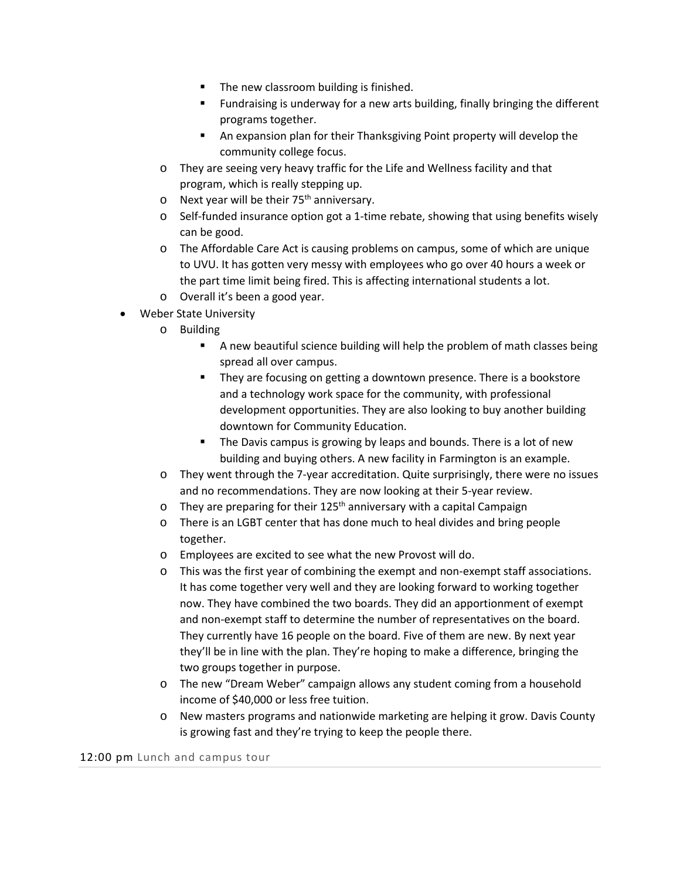- The new classroom building is finished.
- **Fundraising is underway for a new arts building, finally bringing the different** programs together.
- An expansion plan for their Thanksgiving Point property will develop the community college focus.
- o They are seeing very heavy traffic for the Life and Wellness facility and that program, which is really stepping up.
- $\circ$  Next year will be their 75<sup>th</sup> anniversary.
- $\circ$  Self-funded insurance option got a 1-time rebate, showing that using benefits wisely can be good.
- o The Affordable Care Act is causing problems on campus, some of which are unique to UVU. It has gotten very messy with employees who go over 40 hours a week or the part time limit being fired. This is affecting international students a lot.
- o Overall it's been a good year.
- Weber State University
	- o Building
		- A new beautiful science building will help the problem of math classes being spread all over campus.
		- **They are focusing on getting a downtown presence. There is a bookstore** and a technology work space for the community, with professional development opportunities. They are also looking to buy another building downtown for Community Education.
		- **The Davis campus is growing by leaps and bounds. There is a lot of new** building and buying others. A new facility in Farmington is an example.
	- o They went through the 7-year accreditation. Quite surprisingly, there were no issues and no recommendations. They are now looking at their 5-year review.
	- $\circ$  They are preparing for their 125<sup>th</sup> anniversary with a capital Campaign
	- o There is an LGBT center that has done much to heal divides and bring people together.
	- o Employees are excited to see what the new Provost will do.
	- o This was the first year of combining the exempt and non-exempt staff associations. It has come together very well and they are looking forward to working together now. They have combined the two boards. They did an apportionment of exempt and non-exempt staff to determine the number of representatives on the board. They currently have 16 people on the board. Five of them are new. By next year they'll be in line with the plan. They're hoping to make a difference, bringing the two groups together in purpose.
	- o The new "Dream Weber" campaign allows any student coming from a household income of \$40,000 or less free tuition.
	- o New masters programs and nationwide marketing are helping it grow. Davis County is growing fast and they're trying to keep the people there.

12:00 pm Lunch and campus tour